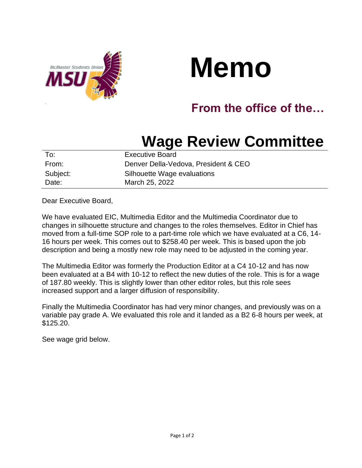



## **From the office of the…**

## **Wage Review Committee**

| To:      | <b>Executive Board</b>               |
|----------|--------------------------------------|
| From:    | Denver Della-Vedova, President & CEO |
| Subject: | Silhouette Wage evaluations          |
| Date:    | March 25, 2022                       |

Dear Executive Board,

We have evaluated EIC, Multimedia Editor and the Multimedia Coordinator due to changes in silhouette structure and changes to the roles themselves. Editor in Chief has moved from a full-time SOP role to a part-time role which we have evaluated at a C6, 14- 16 hours per week. This comes out to \$258.40 per week. This is based upon the job description and being a mostly new role may need to be adjusted in the coming year.

The Multimedia Editor was formerly the Production Editor at a C4 10-12 and has now been evaluated at a B4 with 10-12 to reflect the new duties of the role. This is for a wage of 187.80 weekly. This is slightly lower than other editor roles, but this role sees increased support and a larger diffusion of responsibility.

Finally the Multimedia Coordinator has had very minor changes, and previously was on a variable pay grade A. We evaluated this role and it landed as a B2 6-8 hours per week, at \$125.20.

See wage grid below.